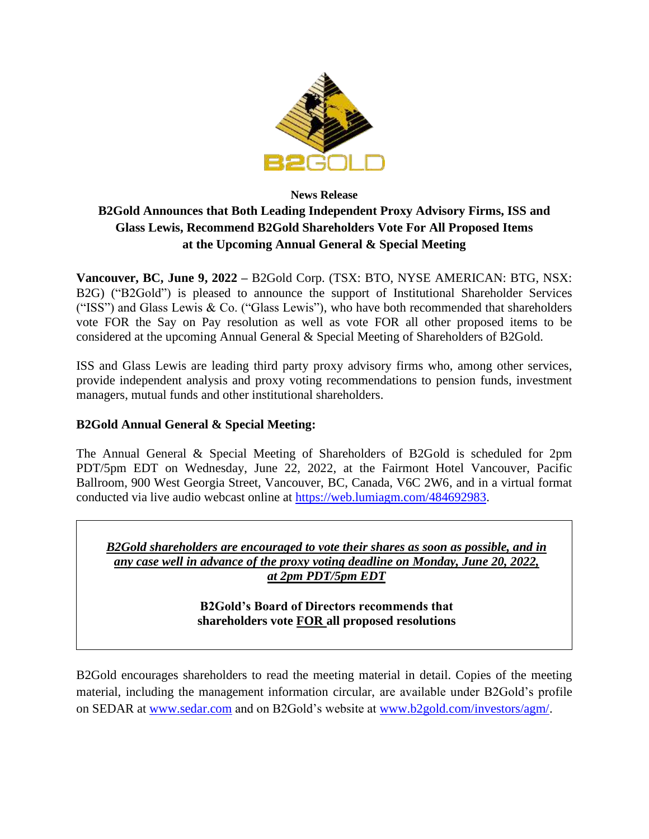

# **News Release B2Gold Announces that Both Leading Independent Proxy Advisory Firms, ISS and Glass Lewis, Recommend B2Gold Shareholders Vote For All Proposed Items at the Upcoming Annual General & Special Meeting**

**Vancouver, BC, June 9, 2022 –** B2Gold Corp. (TSX: BTO, NYSE AMERICAN: BTG, NSX: B2G) ("B2Gold") is pleased to announce the support of Institutional Shareholder Services ("ISS") and Glass Lewis & Co. ("Glass Lewis"), who have both recommended that shareholders vote FOR the Say on Pay resolution as well as vote FOR all other proposed items to be considered at the upcoming Annual General & Special Meeting of Shareholders of B2Gold.

ISS and Glass Lewis are leading third party proxy advisory firms who, among other services, provide independent analysis and proxy voting recommendations to pension funds, investment managers, mutual funds and other institutional shareholders.

## **B2Gold Annual General & Special Meeting:**

The Annual General & Special Meeting of Shareholders of B2Gold is scheduled for 2pm PDT/5pm EDT on Wednesday, June 22, 2022, at the Fairmont Hotel Vancouver, Pacific Ballroom, 900 West Georgia Street, Vancouver, BC, Canada, V6C 2W6, and in a virtual format conducted via live audio webcast online at [https://web.lumiagm.com/484692983.](https://web.lumiagm.com/484692983)

*B2Gold shareholders are encouraged to vote their shares as soon as possible, and in any case well in advance of the proxy voting deadline on Monday, June 20, 2022, at 2pm PDT/5pm EDT*

> **B2Gold's Board of Directors recommends that shareholders vote FOR all proposed resolutions**

B2Gold encourages shareholders to read the meeting material in detail. Copies of the meeting material, including the management information circular, are available under B2Gold's profile on SEDAR at [www.sedar.com](http://www.sedar.com/) and on B2Gold's website at [www.b2gold.com/investors/agm/.](http://www.b2gold.com/investors/agm/)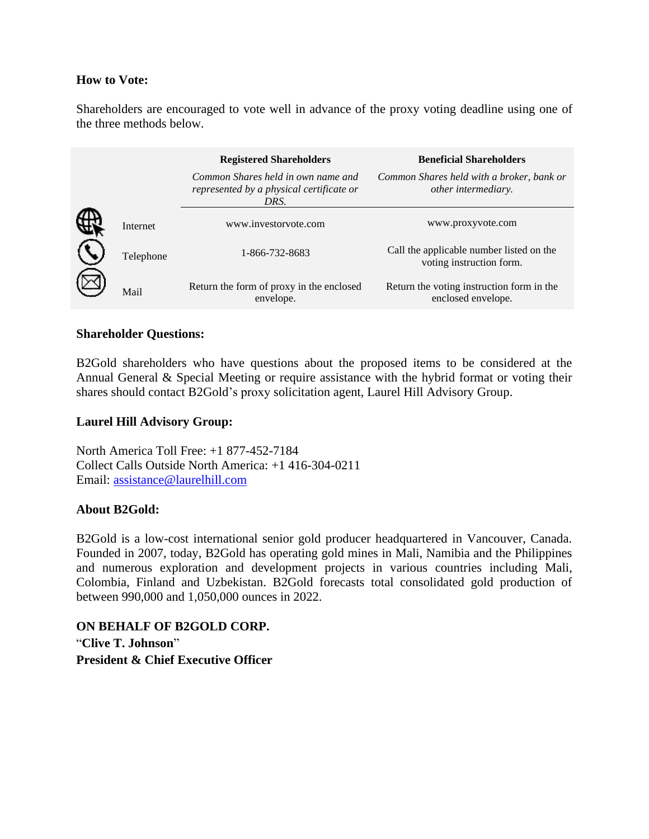#### **How to Vote:**

Shareholders are encouraged to vote well in advance of the proxy voting deadline using one of the three methods below.

|           | <b>Registered Shareholders</b>                                                         | <b>Beneficial Shareholders</b>                                       |
|-----------|----------------------------------------------------------------------------------------|----------------------------------------------------------------------|
|           | Common Shares held in own name and<br>represented by a physical certificate or<br>DRS. | Common Shares held with a broker, bank or<br>other intermediary.     |
| Internet  | www.investoryote.com                                                                   | www.proxyvote.com                                                    |
| Telephone | 1-866-732-8683                                                                         | Call the applicable number listed on the<br>voting instruction form. |
| Mail      | Return the form of proxy in the enclosed<br>envelope.                                  | Return the voting instruction form in the<br>enclosed envelope.      |

#### **Shareholder Questions:**

B2Gold shareholders who have questions about the proposed items to be considered at the Annual General & Special Meeting or require assistance with the hybrid format or voting their shares should contact B2Gold's proxy solicitation agent, Laurel Hill Advisory Group.

### **Laurel Hill Advisory Group:**

North America Toll Free: +1 877-452-7184 Collect Calls Outside North America: +1 416-304-0211 Email: [assistance@laurelhill.com](mailto:assistance@laurelhill.com)

#### **About B2Gold:**

B2Gold is a low-cost international senior gold producer headquartered in Vancouver, Canada. Founded in 2007, today, B2Gold has operating gold mines in Mali, Namibia and the Philippines and numerous exploration and development projects in various countries including Mali, Colombia, Finland and Uzbekistan. B2Gold forecasts total consolidated gold production of between 990,000 and 1,050,000 ounces in 2022.

**ON BEHALF OF B2GOLD CORP.** "**Clive T. Johnson**" **President & Chief Executive Officer**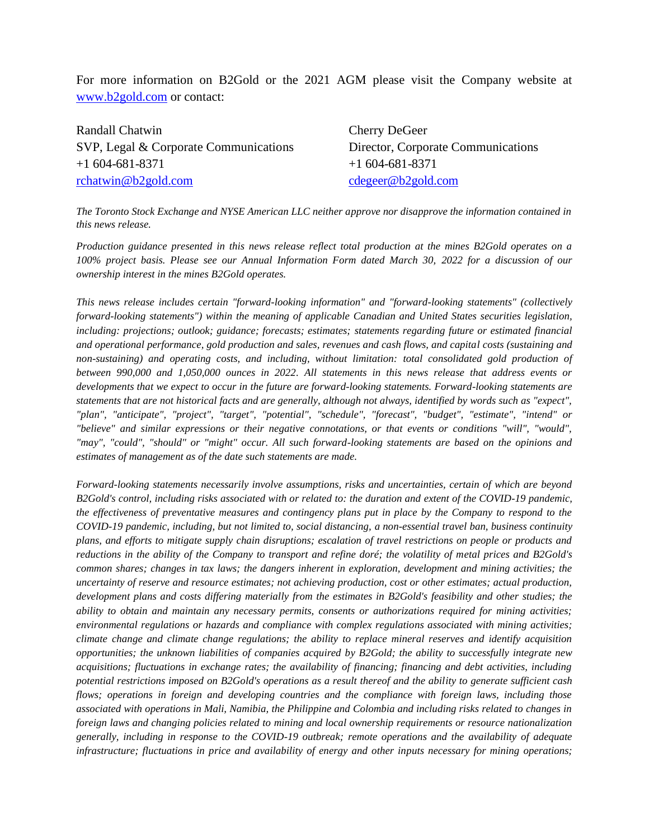For more information on B2Gold or the 2021 AGM please visit the Company website at [www.b2gold.com](http://www.b2gold.com/) or contact:

| Randall Chatwin                       | Cherry DeGeer                      |
|---------------------------------------|------------------------------------|
| SVP, Legal & Corporate Communications | Director, Corporate Communications |
| $+1604-681-8371$                      | $+1604-681-8371$                   |
| rchatwin@b2gold.com                   | cdegree@b2gold.com                 |

*The Toronto Stock Exchange and NYSE American LLC neither approve nor disapprove the information contained in this news release.* 

*Production guidance presented in this news release reflect total production at the mines B2Gold operates on a 100% project basis. Please see our Annual Information Form dated March 30, 2022 for a discussion of our ownership interest in the mines B2Gold operates.*

*This news release includes certain "forward-looking information" and "forward-looking statements" (collectively forward-looking statements") within the meaning of applicable Canadian and United States securities legislation, including: projections; outlook; guidance; forecasts; estimates; statements regarding future or estimated financial and operational performance, gold production and sales, revenues and cash flows, and capital costs (sustaining and non-sustaining) and operating costs, and including, without limitation: total consolidated gold production of between 990,000 and 1,050,000 ounces in 2022. All statements in this news release that address events or developments that we expect to occur in the future are forward-looking statements. Forward-looking statements are statements that are not historical facts and are generally, although not always, identified by words such as "expect", "plan", "anticipate", "project", "target", "potential", "schedule", "forecast", "budget", "estimate", "intend" or "believe" and similar expressions or their negative connotations, or that events or conditions "will", "would", "may", "could", "should" or "might" occur. All such forward-looking statements are based on the opinions and estimates of management as of the date such statements are made.*

*Forward-looking statements necessarily involve assumptions, risks and uncertainties, certain of which are beyond B2Gold's control, including risks associated with or related to: the duration and extent of the COVID-19 pandemic, the effectiveness of preventative measures and contingency plans put in place by the Company to respond to the COVID-19 pandemic, including, but not limited to, social distancing, a non-essential travel ban, business continuity plans, and efforts to mitigate supply chain disruptions; escalation of travel restrictions on people or products and reductions in the ability of the Company to transport and refine doré; the volatility of metal prices and B2Gold's common shares; changes in tax laws; the dangers inherent in exploration, development and mining activities; the uncertainty of reserve and resource estimates; not achieving production, cost or other estimates; actual production, development plans and costs differing materially from the estimates in B2Gold's feasibility and other studies; the ability to obtain and maintain any necessary permits, consents or authorizations required for mining activities; environmental regulations or hazards and compliance with complex regulations associated with mining activities; climate change and climate change regulations; the ability to replace mineral reserves and identify acquisition opportunities; the unknown liabilities of companies acquired by B2Gold; the ability to successfully integrate new acquisitions; fluctuations in exchange rates; the availability of financing; financing and debt activities, including potential restrictions imposed on B2Gold's operations as a result thereof and the ability to generate sufficient cash flows; operations in foreign and developing countries and the compliance with foreign laws, including those associated with operations in Mali, Namibia, the Philippine and Colombia and including risks related to changes in foreign laws and changing policies related to mining and local ownership requirements or resource nationalization generally, including in response to the COVID-19 outbreak; remote operations and the availability of adequate infrastructure; fluctuations in price and availability of energy and other inputs necessary for mining operations;*